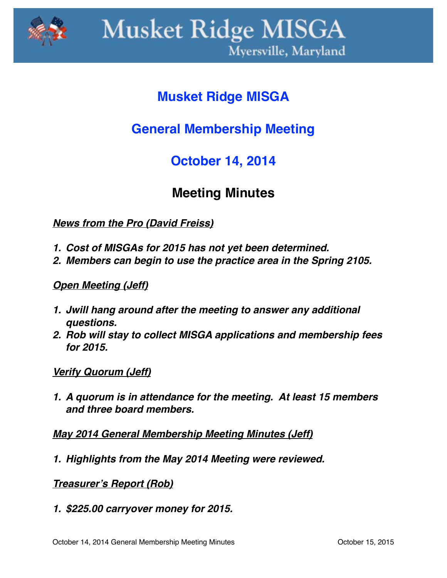

# **Musket Ridge MISGA**

## **General Membership Meeting**

### **October 14, 2014**

### **Meeting Minutes**

*News from the Pro (David Freiss)*

- *1. Cost of MISGAs for 2015 has not yet been determined.*
- *2. Members can begin to use the practice area in the Spring 2105.*

#### *Open Meeting (Jeff)*

- *1. Jwill hang around after the meeting to answer any additional questions.*
- *2. Rob will stay to collect MISGA applications and membership fees for 2015.*

#### *Verify Quorum (Jeff)*

*1. A quorum is in attendance for the meeting. At least 15 members and three board members.*

*May 2014 General Membership Meeting Minutes (Jeff)*

*1. Highlights from the May 2014 Meeting were reviewed.*

*Treasurer's Report (Rob)*

*1. \$225.00 carryover money for 2015.*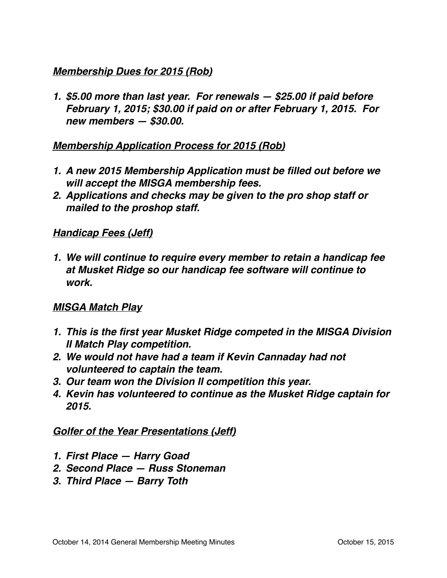#### *Membership Dues for 2015 (Rob)*

*1. \$5.00 more than last year. For renewals — \$25.00 if paid before February 1, 2015; \$30.00 if paid on or after February 1, 2015. For new members — \$30.00.*

#### *Membership Application Process for 2015 (Rob)*

- *1. A new 2015 Membership Application must be filled out before we will accept the MISGA membership fees.*
- *2. Applications and checks may be given to the pro shop staff or mailed to the proshop staff.*

#### *Handicap Fees (Jeff)*

*1. We will continue to require every member to retain a handicap fee at Musket Ridge so our handicap fee software will continue to work.*

#### *MISGA Match Play*

- *1. This is the first year Musket Ridge competed in the MISGA Division II Match Play competition.*
- *2. We would not have had a team if Kevin Cannaday had not volunteered to captain the team.*
- *3. Our team won the Division II competition this year.*
- *4. Kevin has volunteered to continue as the Musket Ridge captain for 2015.*

#### *Golfer of the Year Presentations (Jeff)*

- *1. First Place Harry Goad*
- *2. Second Place Russ Stoneman*
- *3. Third Place Barry Toth*